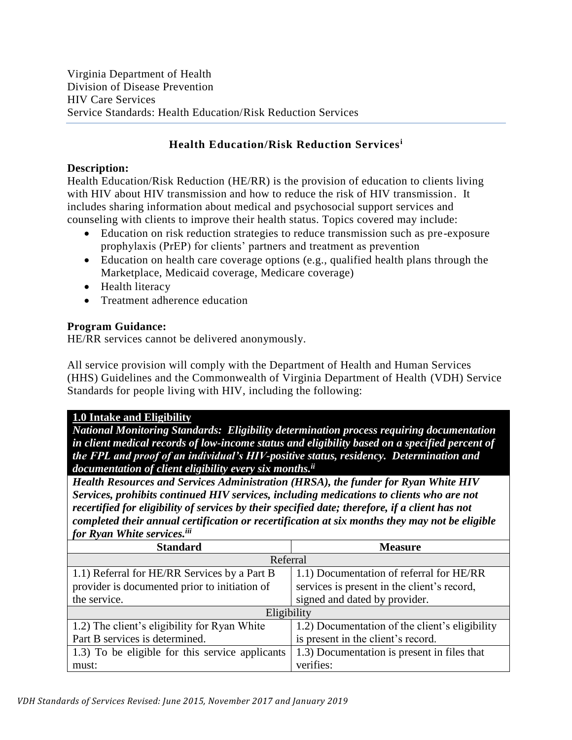## **Health Education/Risk Reduction Services<sup>i</sup>**

## **Description:**

Health Education/Risk Reduction (HE/RR) is the provision of education to clients living with HIV about HIV transmission and how to reduce the risk of HIV transmission. It includes sharing information about medical and psychosocial support services and counseling with clients to improve their health status. Topics covered may include:

- Education on risk reduction strategies to reduce transmission such as pre-exposure prophylaxis (PrEP) for clients' partners and treatment as prevention
- Education on health care coverage options (e.g., qualified health plans through the Marketplace, Medicaid coverage, Medicare coverage)
- Health literacy
- Treatment adherence education

## **Program Guidance:**

HE/RR services cannot be delivered anonymously.

All service provision will comply with the Department of Health and Human Services (HHS) Guidelines and the Commonwealth of Virginia Department of Health (VDH) Service Standards for people living with HIV, including the following:

## **1.0 Intake and Eligibility**

*National Monitoring Standards: Eligibility determination process requiring documentation in client medical records of low-income status and eligibility based on a specified percent of the FPL and proof of an individual's HIV-positive status, residency. Determination and documentation of client eligibility every six months. ii*

*Health Resources and Services Administration (HRSA), the funder for Ryan White HIV Services, prohibits continued HIV services, including medications to clients who are not recertified for eligibility of services by their specified date; therefore, if a client has not completed their annual certification or recertification at six months they may not be eligible for Ryan White services.iii*

| <b>Standard</b>                                 | <b>Measure</b>                                 |  |
|-------------------------------------------------|------------------------------------------------|--|
| Referral                                        |                                                |  |
| 1.1) Referral for HE/RR Services by a Part B    | 1.1) Documentation of referral for HE/RR       |  |
| provider is documented prior to initiation of   | services is present in the client's record,    |  |
| the service.                                    | signed and dated by provider.                  |  |
| Eligibility                                     |                                                |  |
| 1.2) The client's eligibility for Ryan White    | 1.2) Documentation of the client's eligibility |  |
| Part B services is determined.                  | is present in the client's record.             |  |
| 1.3) To be eligible for this service applicants | 1.3) Documentation is present in files that    |  |
| must:                                           | verifies:                                      |  |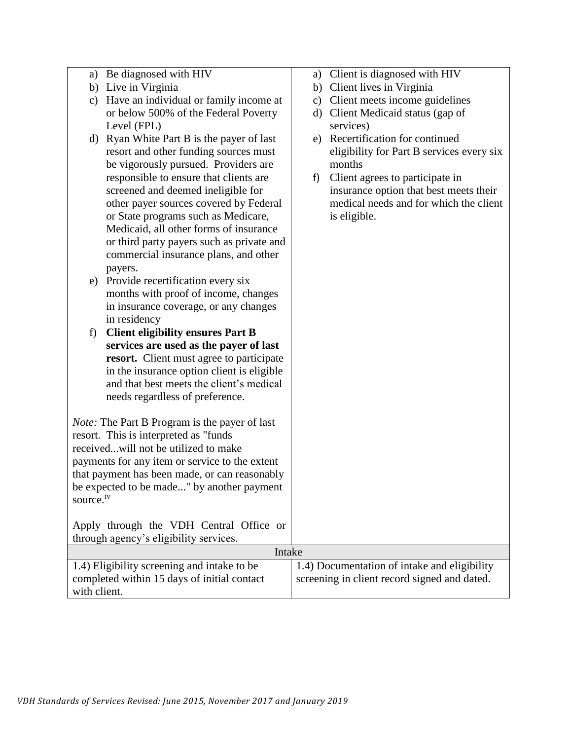| a) Be diagnosed with HIV<br>a) Client is diagnosed with HIV                                 |  |
|---------------------------------------------------------------------------------------------|--|
| b) Client lives in Virginia<br>b) Live in Virginia                                          |  |
| c) Client meets income guidelines<br>c) Have an individual or family income at              |  |
| or below 500% of the Federal Poverty<br>d) Client Medicaid status (gap of                   |  |
| Level (FPL)<br>services)                                                                    |  |
| e) Recertification for continued<br>d) Ryan White Part B is the payer of last               |  |
| resort and other funding sources must<br>eligibility for Part B services every six          |  |
| be vigorously pursued. Providers are<br>months                                              |  |
| responsible to ensure that clients are<br>Client agrees to participate in<br>f)             |  |
| screened and deemed ineligible for<br>insurance option that best meets their                |  |
| other payer sources covered by Federal<br>medical needs and for which the client            |  |
| or State programs such as Medicare,<br>is eligible.                                         |  |
| Medicaid, all other forms of insurance                                                      |  |
| or third party payers such as private and                                                   |  |
| commercial insurance plans, and other                                                       |  |
| payers.                                                                                     |  |
| e) Provide recertification every six                                                        |  |
| months with proof of income, changes                                                        |  |
| in insurance coverage, or any changes                                                       |  |
| in residency                                                                                |  |
| <b>Client eligibility ensures Part B</b><br>f)                                              |  |
| services are used as the payer of last                                                      |  |
| resort. Client must agree to participate                                                    |  |
| in the insurance option client is eligible                                                  |  |
| and that best meets the client's medical                                                    |  |
| needs regardless of preference.                                                             |  |
|                                                                                             |  |
| <i>Note:</i> The Part B Program is the payer of last                                        |  |
| resort. This is interpreted as "funds"                                                      |  |
| receivedwill not be utilized to make                                                        |  |
| payments for any item or service to the extent                                              |  |
| that payment has been made, or can reasonably                                               |  |
| be expected to be made" by another payment                                                  |  |
| source. <sup>iv</sup>                                                                       |  |
|                                                                                             |  |
| Apply through the VDH Central Office or                                                     |  |
| through agency's eligibility services.                                                      |  |
| Intake                                                                                      |  |
| 1.4) Eligibility screening and intake to be<br>1.4) Documentation of intake and eligibility |  |
| completed within 15 days of initial contact<br>screening in client record signed and dated. |  |
| with client.                                                                                |  |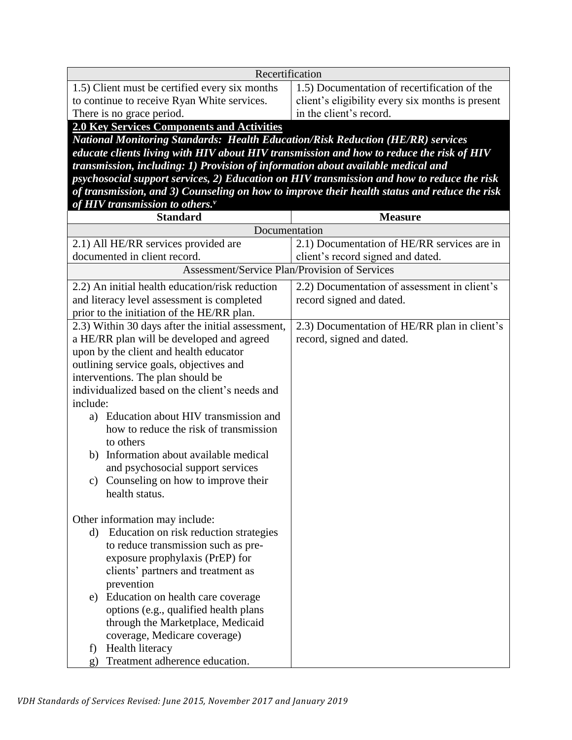| Recertification                                   |                                                  |
|---------------------------------------------------|--------------------------------------------------|
| 1.5) Client must be certified every six months    | 1.5) Documentation of recertification of the     |
| to continue to receive Ryan White services.       | client's eligibility every six months is present |
| There is no grace period.                         | in the client's record.                          |
| <b>2.0 Key Services Components and Activities</b> |                                                  |

*National Monitoring Standards: Health Education/Risk Reduction (HE/RR) services educate clients living with HIV about HIV transmission and how to reduce the risk of HIV transmission, including: 1) Provision of information about available medical and psychosocial support services, 2) Education on HIV transmission and how to reduce the risk of transmission, and 3) Counseling on how to improve their health status and reduce the risk of HIV transmission to others.<sup>v</sup>*

| <b>Standard</b>                                         | <b>Measure</b>                               |
|---------------------------------------------------------|----------------------------------------------|
| Documentation                                           |                                              |
| 2.1) All HE/RR services provided are                    | 2.1) Documentation of HE/RR services are in  |
| documented in client record.                            | client's record signed and dated.            |
| Assessment/Service Plan/Provision of Services           |                                              |
| 2.2) An initial health education/risk reduction         | 2.2) Documentation of assessment in client's |
| and literacy level assessment is completed              | record signed and dated.                     |
| prior to the initiation of the HE/RR plan.              |                                              |
| 2.3) Within 30 days after the initial assessment,       | 2.3) Documentation of HE/RR plan in client's |
| a HE/RR plan will be developed and agreed               | record, signed and dated.                    |
| upon by the client and health educator                  |                                              |
| outlining service goals, objectives and                 |                                              |
| interventions. The plan should be                       |                                              |
| individualized based on the client's needs and          |                                              |
| include:                                                |                                              |
| a) Education about HIV transmission and                 |                                              |
| how to reduce the risk of transmission                  |                                              |
| to others                                               |                                              |
| b) Information about available medical                  |                                              |
| and psychosocial support services                       |                                              |
| c) Counseling on how to improve their<br>health status. |                                              |
|                                                         |                                              |
| Other information may include:                          |                                              |
| Education on risk reduction strategies<br>$\mathbf{d}$  |                                              |
| to reduce transmission such as pre-                     |                                              |
| exposure prophylaxis (PrEP) for                         |                                              |
| clients' partners and treatment as                      |                                              |
| prevention                                              |                                              |
| Education on health care coverage<br>e)                 |                                              |
| options (e.g., qualified health plans                   |                                              |
| through the Marketplace, Medicaid                       |                                              |
| coverage, Medicare coverage)                            |                                              |
| Health literacy<br>f)                                   |                                              |
| Treatment adherence education.<br>$\mathbf{g}$ )        |                                              |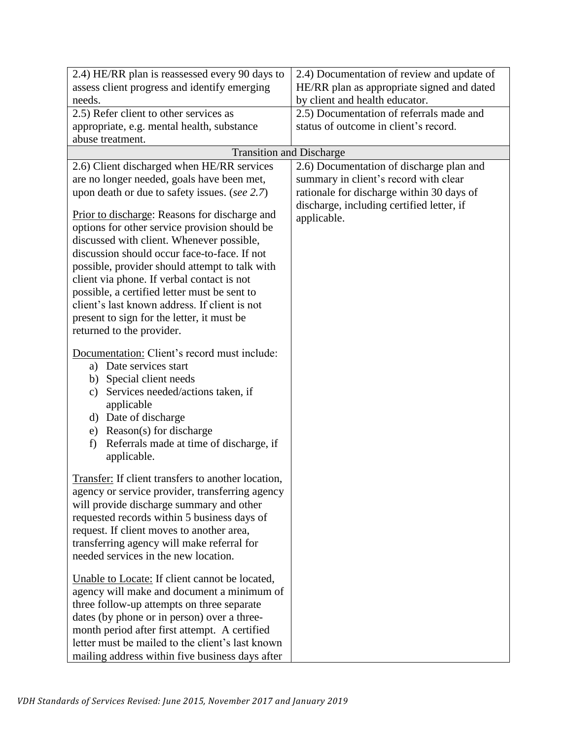| 2.4) HE/RR plan is reassessed every 90 days to                                                                                                                                                                                                                                                                                                                                               | 2.4) Documentation of review and update of               |
|----------------------------------------------------------------------------------------------------------------------------------------------------------------------------------------------------------------------------------------------------------------------------------------------------------------------------------------------------------------------------------------------|----------------------------------------------------------|
| assess client progress and identify emerging                                                                                                                                                                                                                                                                                                                                                 | HE/RR plan as appropriate signed and dated               |
| needs.                                                                                                                                                                                                                                                                                                                                                                                       | by client and health educator.                           |
| 2.5) Refer client to other services as                                                                                                                                                                                                                                                                                                                                                       | 2.5) Documentation of referrals made and                 |
| appropriate, e.g. mental health, substance                                                                                                                                                                                                                                                                                                                                                   | status of outcome in client's record.                    |
| abuse treatment.                                                                                                                                                                                                                                                                                                                                                                             |                                                          |
| <b>Transition and Discharge</b>                                                                                                                                                                                                                                                                                                                                                              |                                                          |
| 2.6) Client discharged when HE/RR services                                                                                                                                                                                                                                                                                                                                                   | 2.6) Documentation of discharge plan and                 |
| are no longer needed, goals have been met,                                                                                                                                                                                                                                                                                                                                                   | summary in client's record with clear                    |
| upon death or due to safety issues. (see 2.7)                                                                                                                                                                                                                                                                                                                                                | rationale for discharge within 30 days of                |
| Prior to discharge: Reasons for discharge and<br>options for other service provision should be<br>discussed with client. Whenever possible,<br>discussion should occur face-to-face. If not<br>possible, provider should attempt to talk with<br>client via phone. If verbal contact is not<br>possible, a certified letter must be sent to<br>client's last known address. If client is not | discharge, including certified letter, if<br>applicable. |
| present to sign for the letter, it must be                                                                                                                                                                                                                                                                                                                                                   |                                                          |
| returned to the provider.                                                                                                                                                                                                                                                                                                                                                                    |                                                          |
| Documentation: Client's record must include:<br>a) Date services start<br>b) Special client needs<br>c) Services needed/actions taken, if<br>applicable<br>d) Date of discharge<br>e) Reason(s) for discharge<br>Referrals made at time of discharge, if<br>f)<br>applicable.                                                                                                                |                                                          |
| <b>Transfer:</b> If client transfers to another location,<br>agency or service provider, transferring agency<br>will provide discharge summary and other<br>requested records within 5 business days of<br>request. If client moves to another area,<br>transferring agency will make referral for<br>needed services in the new location.                                                   |                                                          |
| Unable to Locate: If client cannot be located,<br>agency will make and document a minimum of<br>three follow-up attempts on three separate<br>dates (by phone or in person) over a three-<br>month period after first attempt. A certified<br>letter must be mailed to the client's last known<br>mailing address within five business days after                                            |                                                          |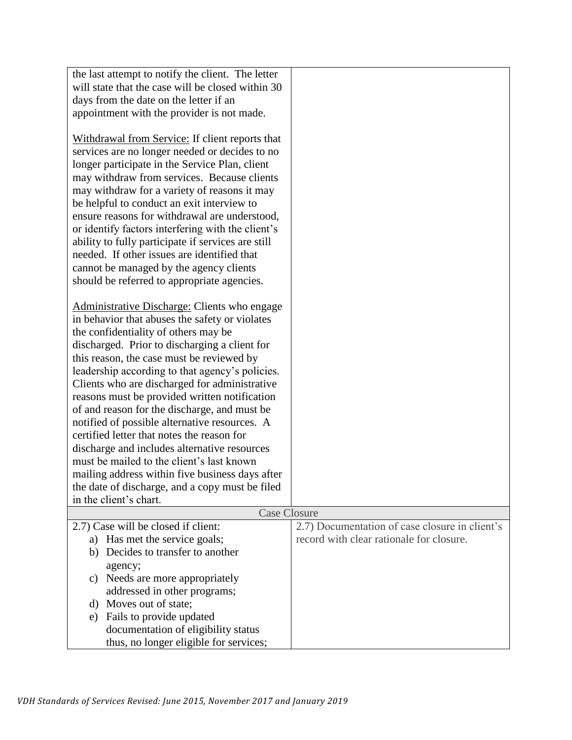| the last attempt to notify the client. The letter   |                                                |
|-----------------------------------------------------|------------------------------------------------|
| will state that the case will be closed within 30   |                                                |
| days from the date on the letter if an              |                                                |
| appointment with the provider is not made.          |                                                |
|                                                     |                                                |
| Withdrawal from Service: If client reports that     |                                                |
| services are no longer needed or decides to no      |                                                |
| longer participate in the Service Plan, client      |                                                |
| may withdraw from services. Because clients         |                                                |
| may withdraw for a variety of reasons it may        |                                                |
| be helpful to conduct an exit interview to          |                                                |
| ensure reasons for withdrawal are understood,       |                                                |
| or identify factors interfering with the client's   |                                                |
| ability to fully participate if services are still  |                                                |
| needed. If other issues are identified that         |                                                |
| cannot be managed by the agency clients             |                                                |
| should be referred to appropriate agencies.         |                                                |
|                                                     |                                                |
| <b>Administrative Discharge: Clients who engage</b> |                                                |
| in behavior that abuses the safety or violates      |                                                |
| the confidentiality of others may be                |                                                |
| discharged. Prior to discharging a client for       |                                                |
| this reason, the case must be reviewed by           |                                                |
| leadership according to that agency's policies.     |                                                |
| Clients who are discharged for administrative       |                                                |
| reasons must be provided written notification       |                                                |
| of and reason for the discharge, and must be        |                                                |
| notified of possible alternative resources. A       |                                                |
| certified letter that notes the reason for          |                                                |
| discharge and includes alternative resources        |                                                |
| must be mailed to the client's last known           |                                                |
| mailing address within five business days after     |                                                |
| the date of discharge, and a copy must be filed     |                                                |
| in the client's chart.                              |                                                |
| <b>Case Closure</b>                                 |                                                |
| 2.7) Case will be closed if client:                 | 2.7) Documentation of case closure in client's |
| a) Has met the service goals;                       | record with clear rationale for closure.       |
| b) Decides to transfer to another                   |                                                |
| agency;                                             |                                                |
| c) Needs are more appropriately                     |                                                |
| addressed in other programs;                        |                                                |
| d) Moves out of state;                              |                                                |
| e) Fails to provide updated                         |                                                |
| documentation of eligibility status                 |                                                |
| thus, no longer eligible for services;              |                                                |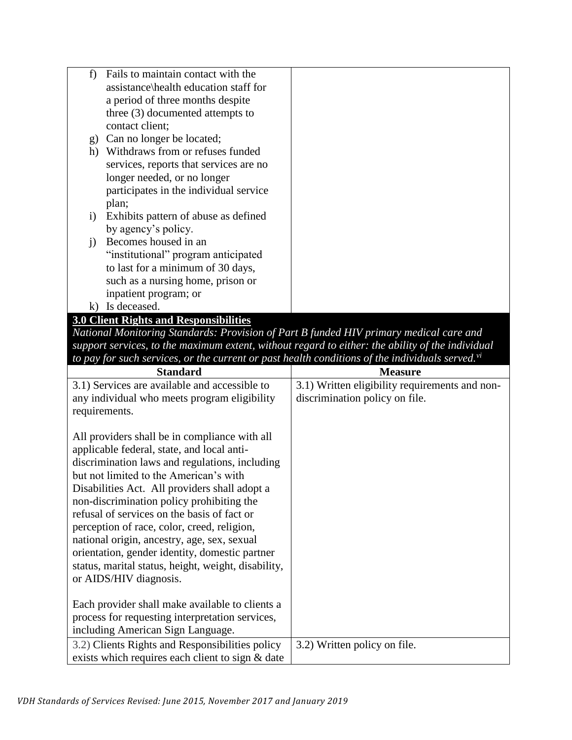| Fails to maintain contact with the<br>f)                                               |  |
|----------------------------------------------------------------------------------------|--|
| assistance\health education staff for                                                  |  |
| a period of three months despite                                                       |  |
| three (3) documented attempts to                                                       |  |
| contact client;                                                                        |  |
| Can no longer be located;<br>g)                                                        |  |
| Withdraws from or refuses funded<br>h)                                                 |  |
| services, reports that services are no                                                 |  |
| longer needed, or no longer                                                            |  |
| participates in the individual service                                                 |  |
| plan;                                                                                  |  |
| Exhibits pattern of abuse as defined<br>$\bf{1)}$                                      |  |
| by agency's policy.                                                                    |  |
| Becomes housed in an<br>$\mathbf{j}$                                                   |  |
| "institutional" program anticipated                                                    |  |
| to last for a minimum of 30 days,                                                      |  |
| such as a nursing home, prison or                                                      |  |
| inpatient program; or                                                                  |  |
| Is deceased.<br>$\bf k$                                                                |  |
| 3.0 Client Rights and Responsibilities                                                 |  |
| National Monitoring Standards: Provision of Part R funded HIV primary medical care and |  |

*National Monitoring Standards: Provision of Part B funded HIV primary medical care and support services, to the maximum extent, without regard to either: the ability of the individual to pay for such services, or the current or past health conditions of the individuals served.vi*

| <b>Standard</b>                                                                                                                                                                                                                                                                                                                                                                                                                                                                                                                                                       | <b>Measure</b>                                                                   |
|-----------------------------------------------------------------------------------------------------------------------------------------------------------------------------------------------------------------------------------------------------------------------------------------------------------------------------------------------------------------------------------------------------------------------------------------------------------------------------------------------------------------------------------------------------------------------|----------------------------------------------------------------------------------|
| 3.1) Services are available and accessible to<br>any individual who meets program eligibility<br>requirements.                                                                                                                                                                                                                                                                                                                                                                                                                                                        | 3.1) Written eligibility requirements and non-<br>discrimination policy on file. |
| All providers shall be in compliance with all<br>applicable federal, state, and local anti-<br>discrimination laws and regulations, including<br>but not limited to the American's with<br>Disabilities Act. All providers shall adopt a<br>non-discrimination policy prohibiting the<br>refusal of services on the basis of fact or<br>perception of race, color, creed, religion,<br>national origin, ancestry, age, sex, sexual<br>orientation, gender identity, domestic partner<br>status, marital status, height, weight, disability,<br>or AIDS/HIV diagnosis. |                                                                                  |
| Each provider shall make available to clients a                                                                                                                                                                                                                                                                                                                                                                                                                                                                                                                       |                                                                                  |
| process for requesting interpretation services,<br>including American Sign Language.                                                                                                                                                                                                                                                                                                                                                                                                                                                                                  |                                                                                  |
| 3.2) Clients Rights and Responsibilities policy<br>exists which requires each client to sign & date                                                                                                                                                                                                                                                                                                                                                                                                                                                                   | 3.2) Written policy on file.                                                     |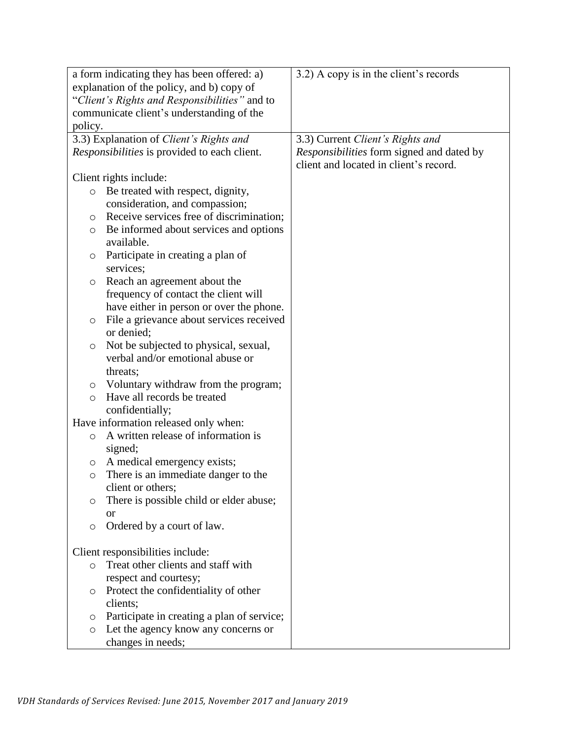|         | a form indicating they has been offered: a)   | 3.2) A copy is in the client's records    |
|---------|-----------------------------------------------|-------------------------------------------|
|         | explanation of the policy, and b) copy of     |                                           |
|         | "Client's Rights and Responsibilities" and to |                                           |
|         | communicate client's understanding of the     |                                           |
| policy. |                                               |                                           |
|         | 3.3) Explanation of Client's Rights and       | 3.3) Current Client's Rights and          |
|         | Responsibilities is provided to each client.  | Responsibilities form signed and dated by |
|         |                                               | client and located in client's record.    |
|         | Client rights include:                        |                                           |
| $\circ$ | Be treated with respect, dignity,             |                                           |
|         | consideration, and compassion;                |                                           |
| $\circ$ | Receive services free of discrimination;      |                                           |
| $\circ$ | Be informed about services and options        |                                           |
|         | available.                                    |                                           |
| O       | Participate in creating a plan of             |                                           |
|         | services;                                     |                                           |
| $\circ$ | Reach an agreement about the                  |                                           |
|         | frequency of contact the client will          |                                           |
|         | have either in person or over the phone.      |                                           |
| $\circ$ | File a grievance about services received      |                                           |
|         | or denied;                                    |                                           |
| $\circ$ | Not be subjected to physical, sexual,         |                                           |
|         | verbal and/or emotional abuse or              |                                           |
|         | threats;                                      |                                           |
| $\circ$ | Voluntary withdraw from the program;          |                                           |
| $\circ$ | Have all records be treated                   |                                           |
|         | confidentially;                               |                                           |
|         | Have information released only when:          |                                           |
| $\circ$ | A written release of information is           |                                           |
|         | signed;                                       |                                           |
| $\circ$ | A medical emergency exists;                   |                                           |
| $\circ$ | There is an immediate danger to the           |                                           |
|         | client or others;                             |                                           |
| O       | There is possible child or elder abuse;       |                                           |
|         | <b>or</b>                                     |                                           |
| $\circ$ | Ordered by a court of law.                    |                                           |
|         | Client responsibilities include:              |                                           |
| $\circ$ | Treat other clients and staff with            |                                           |
|         | respect and courtesy;                         |                                           |
|         | Protect the confidentiality of other          |                                           |
| $\circ$ | clients;                                      |                                           |
|         | Participate in creating a plan of service;    |                                           |
| $\circ$ | Let the agency know any concerns or           |                                           |
| $\circ$ | changes in needs;                             |                                           |
|         |                                               |                                           |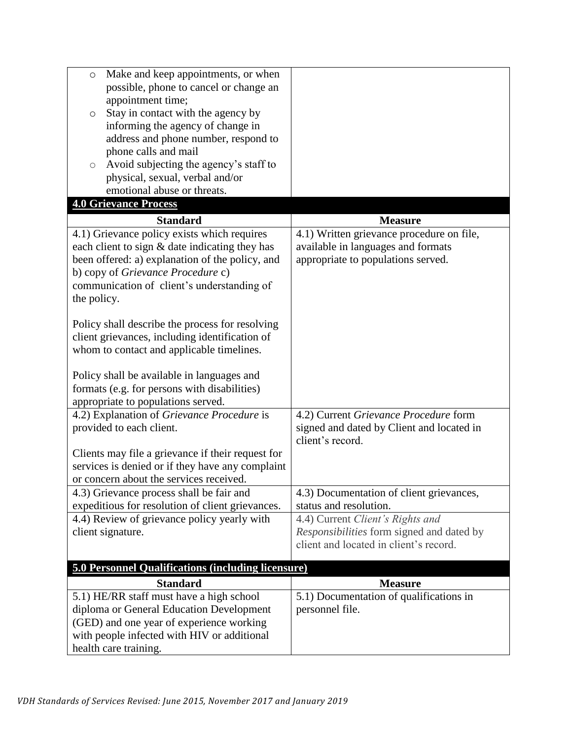| Make and keep appointments, or when<br>$\circ$                       |                                           |
|----------------------------------------------------------------------|-------------------------------------------|
| possible, phone to cancel or change an                               |                                           |
| appointment time;                                                    |                                           |
| Stay in contact with the agency by<br>O                              |                                           |
| informing the agency of change in                                    |                                           |
| address and phone number, respond to                                 |                                           |
| phone calls and mail                                                 |                                           |
| Avoid subjecting the agency's staff to<br>$\circ$                    |                                           |
| physical, sexual, verbal and/or                                      |                                           |
| emotional abuse or threats.                                          |                                           |
| <b>4.0 Grievance Process</b>                                         |                                           |
| <b>Standard</b>                                                      | <b>Measure</b>                            |
| 4.1) Grievance policy exists which requires                          | 4.1) Written grievance procedure on file, |
| each client to sign & date indicating they has                       | available in languages and formats        |
| been offered: a) explanation of the policy, and                      | appropriate to populations served.        |
| b) copy of Grievance Procedure c)                                    |                                           |
| communication of client's understanding of                           |                                           |
| the policy.                                                          |                                           |
|                                                                      |                                           |
| Policy shall describe the process for resolving                      |                                           |
| client grievances, including identification of                       |                                           |
| whom to contact and applicable timelines.                            |                                           |
|                                                                      |                                           |
| Policy shall be available in languages and                           |                                           |
| formats (e.g. for persons with disabilities)                         |                                           |
| appropriate to populations served.                                   |                                           |
| 4.2) Explanation of Grievance Procedure is                           | 4.2) Current Grievance Procedure form     |
| provided to each client.                                             | signed and dated by Client and located in |
|                                                                      | client's record.                          |
| Clients may file a grievance if their request for                    |                                           |
| services is denied or if they have any complaint                     |                                           |
| or concern about the services received.                              |                                           |
| 4.3) Grievance process shall be fair and                             | 4.3) Documentation of client grievances,  |
| expeditious for resolution of client grievances.                     | status and resolution.                    |
| 4.4) Review of grievance policy yearly with                          |                                           |
|                                                                      | 4.4) Current Client's Rights and          |
| client signature.                                                    | Responsibilities form signed and dated by |
|                                                                      | client and located in client's record.    |
|                                                                      |                                           |
| <b>5.0 Personnel Qualifications (including licensure)</b>            |                                           |
| <b>Standard</b>                                                      | <b>Measure</b>                            |
| 5.1) HE/RR staff must have a high school                             | 5.1) Documentation of qualifications in   |
| diploma or General Education Development                             | personnel file.                           |
| (GED) and one year of experience working                             |                                           |
| with people infected with HIV or additional<br>health care training. |                                           |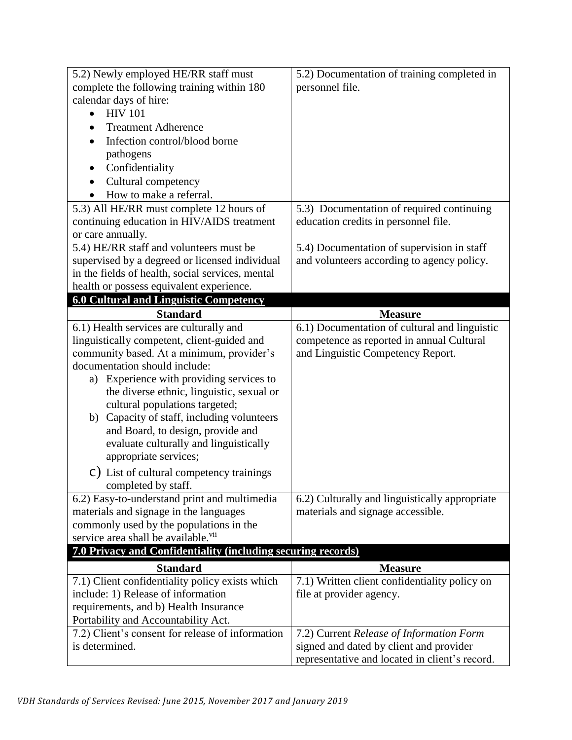| 5.2) Newly employed HE/RR staff must                         | 5.2) Documentation of training completed in                                               |
|--------------------------------------------------------------|-------------------------------------------------------------------------------------------|
| complete the following training within 180                   | personnel file.                                                                           |
| calendar days of hire:                                       |                                                                                           |
| <b>HIV 101</b>                                               |                                                                                           |
| <b>Treatment Adherence</b>                                   |                                                                                           |
| Infection control/blood borne                                |                                                                                           |
| pathogens                                                    |                                                                                           |
| Confidentiality<br>$\bullet$                                 |                                                                                           |
| Cultural competency                                          |                                                                                           |
| How to make a referral.                                      |                                                                                           |
| 5.3) All HE/RR must complete 12 hours of                     | 5.3) Documentation of required continuing                                                 |
| continuing education in HIV/AIDS treatment                   | education credits in personnel file.                                                      |
| or care annually.                                            |                                                                                           |
| 5.4) HE/RR staff and volunteers must be                      | 5.4) Documentation of supervision in staff                                                |
| supervised by a degreed or licensed individual               | and volunteers according to agency policy.                                                |
| in the fields of health, social services, mental             |                                                                                           |
| health or possess equivalent experience.                     |                                                                                           |
| <b>6.0 Cultural and Linguistic Competency</b>                |                                                                                           |
| <b>Standard</b>                                              | <b>Measure</b>                                                                            |
| 6.1) Health services are culturally and                      | 6.1) Documentation of cultural and linguistic                                             |
| linguistically competent, client-guided and                  | competence as reported in annual Cultural                                                 |
| community based. At a minimum, provider's                    | and Linguistic Competency Report.                                                         |
| documentation should include:                                |                                                                                           |
|                                                              |                                                                                           |
| Experience with providing services to<br>a)                  |                                                                                           |
| the diverse ethnic, linguistic, sexual or                    |                                                                                           |
| cultural populations targeted;                               |                                                                                           |
| Capacity of staff, including volunteers<br>b)                |                                                                                           |
| and Board, to design, provide and                            |                                                                                           |
| evaluate culturally and linguistically                       |                                                                                           |
| appropriate services;                                        |                                                                                           |
| c) List of cultural competency trainings                     |                                                                                           |
| completed by staff.                                          |                                                                                           |
| 6.2) Easy-to-understand print and multimedia                 | 6.2) Culturally and linguistically appropriate                                            |
| materials and signage in the languages                       | materials and signage accessible.                                                         |
| commonly used by the populations in the                      |                                                                                           |
| service area shall be available. <sup>vii</sup>              |                                                                                           |
| 7.0 Privacy and Confidentiality (including securing records) |                                                                                           |
| <b>Standard</b>                                              | <b>Measure</b>                                                                            |
| 7.1) Client confidentiality policy exists which              | 7.1) Written client confidentiality policy on                                             |
| include: 1) Release of information                           | file at provider agency.                                                                  |
| requirements, and b) Health Insurance                        |                                                                                           |
| Portability and Accountability Act.                          |                                                                                           |
| 7.2) Client's consent for release of information             | 7.2) Current Release of Information Form                                                  |
| is determined.                                               | signed and dated by client and provider<br>representative and located in client's record. |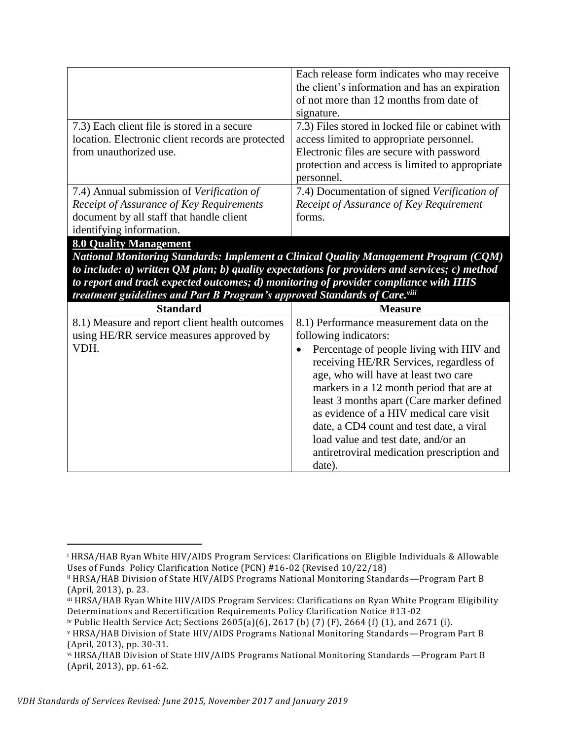|                                                   | Each release form indicates who may receive      |
|---------------------------------------------------|--------------------------------------------------|
|                                                   | the client's information and has an expiration   |
|                                                   | of not more than 12 months from date of          |
|                                                   | signature.                                       |
| 7.3) Each client file is stored in a secure       | 7.3) Files stored in locked file or cabinet with |
| location. Electronic client records are protected | access limited to appropriate personnel.         |
| from unauthorized use.                            | Electronic files are secure with password        |
|                                                   | protection and access is limited to appropriate  |
|                                                   | personnel.                                       |
| 7.4) Annual submission of Verification of         | 7.4) Documentation of signed Verification of     |
| Receipt of Assurance of Key Requirements          | Receipt of Assurance of Key Requirement          |
| document by all staff that handle client          | forms.                                           |
| identifying information.                          |                                                  |
|                                                   |                                                  |

**8.0 Quality Management**

 $\overline{a}$ 

*National Monitoring Standards: Implement a Clinical Quality Management Program (CQM) to include: a) written QM plan; b) quality expectations for providers and services; c) method to report and track expected outcomes; d) monitoring of provider compliance with HHS treatment guidelines and Part B Program's approved Standards of Care.viii*

| <b>Standard</b>                                | <b>Measure</b>                             |
|------------------------------------------------|--------------------------------------------|
| 8.1) Measure and report client health outcomes | 8.1) Performance measurement data on the   |
| using HE/RR service measures approved by       | following indicators:                      |
| VDH.                                           | Percentage of people living with HIV and   |
|                                                | receiving HE/RR Services, regardless of    |
|                                                | age, who will have at least two care       |
|                                                | markers in a 12 month period that are at   |
|                                                | least 3 months apart (Care marker defined  |
|                                                | as evidence of a HIV medical care visit    |
|                                                | date, a CD4 count and test date, a viral   |
|                                                | load value and test date, and/or an        |
|                                                | antiretroviral medication prescription and |
|                                                | date).                                     |

<sup>i</sup> HRSA/HAB Ryan White HIV/AIDS Program Services: Clarifications on Eligible Individuals & Allowable Uses of Funds Policy Clarification Notice (PCN) #16-02 (Revised 10/22/18)

ii HRSA/HAB Division of State HIV/AIDS Programs National Monitoring Standards—Program Part B (April, 2013), p. 23.

iii HRSA/HAB Ryan White HIV/AIDS Program Services: Clarifications on Ryan White Program Eligibility Determinations and Recertification Requirements Policy Clarification Notice #13-02

iv Public Health Service Act; Sections 2605(a)(6), 2617 (b) (7) (F), 2664 (f) (1), and 2671 (i).

<sup>v</sup> HRSA/HAB Division of State HIV/AIDS Programs National Monitoring Standards—Program Part B (April, 2013), pp. 30-31.

vi HRSA/HAB Division of State HIV/AIDS Programs National Monitoring Standards—Program Part B (April, 2013), pp. 61-62.